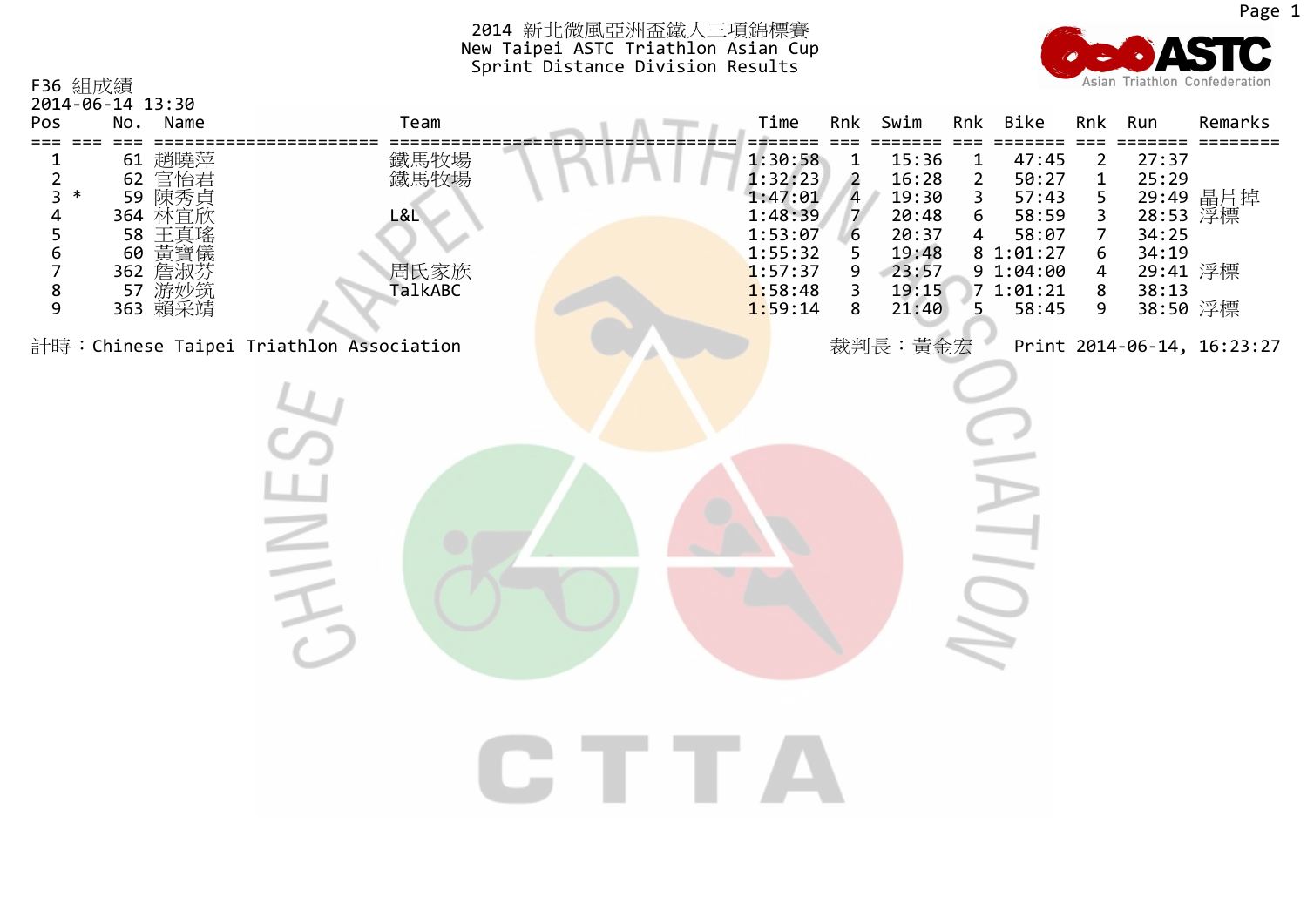

Page 1

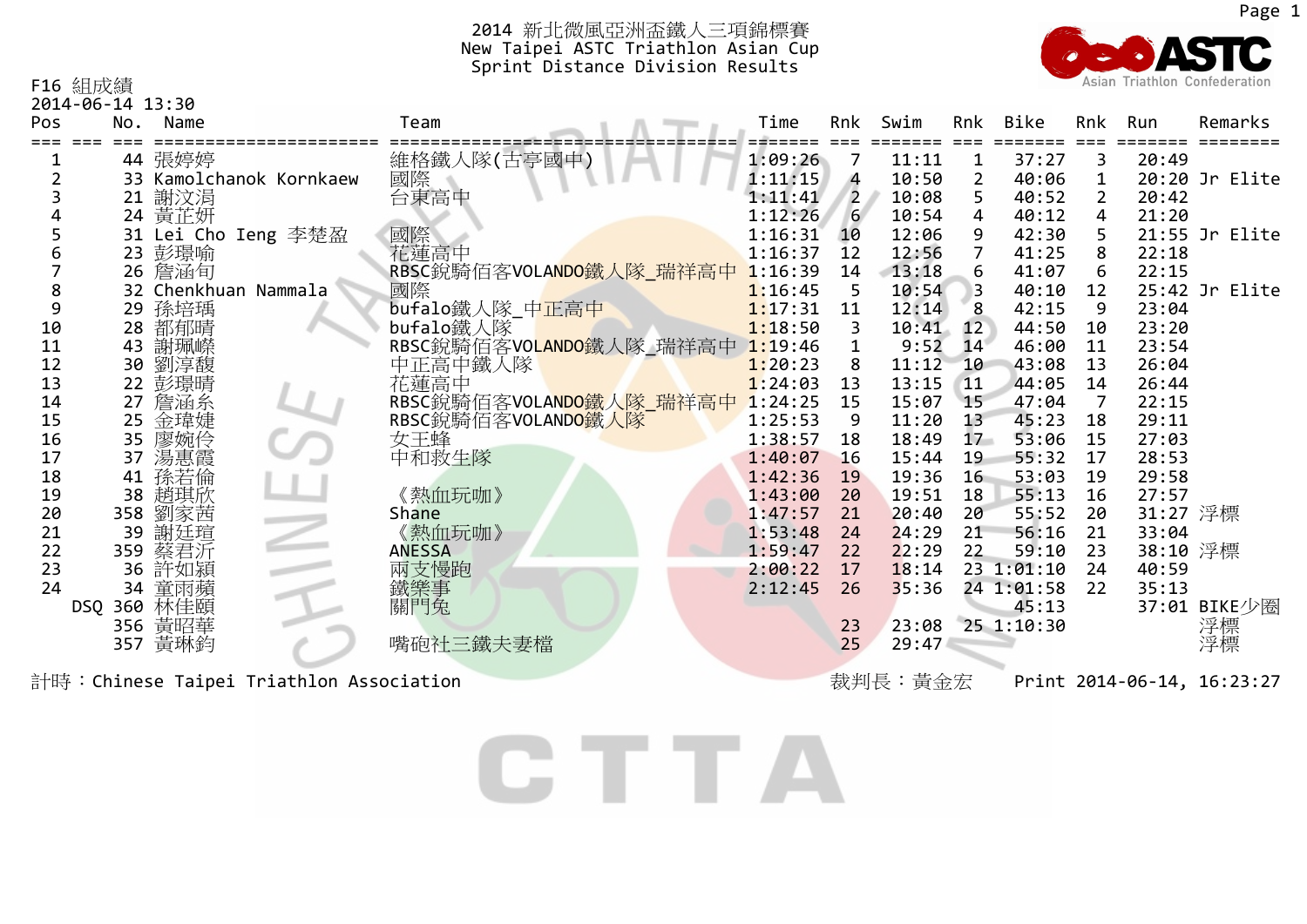

F16 組成績

2014‐06‐14 13:30

| Pos | No. | Name                 |                         | Team                            | Time    | Rnk            | Swim  | Rnk            | Bike       | Rnk            | Run      | Remarks        |
|-----|-----|----------------------|-------------------------|---------------------------------|---------|----------------|-------|----------------|------------|----------------|----------|----------------|
|     |     | 44 張婷婷               |                         | 維格鐵人隊(古亭國中)                     | 1:09:26 | 7              | 11:11 |                | 37:27      | 3              | 20:49    |                |
|     |     |                      | 33 Kamolchanok Kornkaew |                                 | 1:11:15 | 4              | 10:50 | $\overline{2}$ | 40:06      | $\mathbf{1}$   |          | 20:20 Jr Elite |
|     |     | 21 謝汶涓               |                         | 画際<br>国際<br>台東高中                | 1:11:41 | $\overline{2}$ | 10:08 | 5.             | 40:52      | $\overline{2}$ | 20:42    |                |
|     |     | 24 黄芷妍               |                         |                                 | 1:12:26 | 6 <sup>1</sup> | 10:54 | $\overline{4}$ | 40:12      | $\overline{4}$ | 21:20    |                |
|     |     | 31 Lei Cho Ieng 李楚盈  |                         |                                 | 1:16:31 | 10             | 12:06 | 9              | 42:30      | 5              |          | 21:55 Jr Elite |
|     |     | 23 彭璟喻               |                         | 國際<br>花蓮高中                      | 1:16:37 | 12             | 12:56 |                | 41:25      | 8              | 22:18    |                |
|     |     | 26 詹涵旬               |                         | RBSC銳騎佰客VOLANDO鐵人隊_瑞祥高中 1:16:39 |         | 14             | 13:18 | 6              | 41:07      | 6              | 22:15    |                |
|     |     | 32 Chenkhuan Nammala |                         | 國際                              | 1:16:45 | 5              | 10:54 |                | 40:10      | 12             |          | 25:42 Jr Elite |
| 9   |     | 29 孫培瑀               |                         | bufalo鐵人隊 中正高中                  | 1:17:31 | 11             | 12:14 | 8              | 42:15      | 9              | 23:04    |                |
| 10  |     | 28 都郁晴               |                         | bufalo鐵人隊                       | 1:18:50 | 3              | 10:41 | 12             | 44:50      | 10             | 23:20    |                |
| 11  |     | 43 謝珮嶸               |                         | RBSC銳騎佰客VOLANDO鐵人隊_瑞祥高中 1:19:46 |         |                | 9:52  | 14             | 46:00      | 11             | 23:54    |                |
| 12  |     | 30 劉淳馥               |                         | 中正高中鐵人隊                         | 1:20:23 | 8              | 11:12 | 10             | 43:08      | 13             | 26:04    |                |
| 13  |     | 22 彭璟晴               |                         | 花蓮高中                            | 1:24:03 | 13             | 13:15 | 11             | 44:05      | 14             | 26:44    |                |
| 14  |     | 27 詹涵糸               |                         | RBSC銳騎佰客VOLANDO鐵人隊_瑞祥高中 1:24:25 |         | 15             | 15:07 | 15             | 47:04      | $\overline{7}$ | 22:15    |                |
| 15  |     | 25 金瑋婕               |                         | RBSC銳騎佰客VOLANDO鐵人隊              | 1:25:53 | 9              | 11:20 | 13             | 45:23      | 18             | 29:11    |                |
| 16  |     | 35 廖婉伶               |                         | 女王蜂                             | 1:38:57 | 18             | 18:49 | $17 -$         | 53:06      | 15             | 27:03    |                |
| 17  | 37  | 湯惠霞                  |                         | 中和救生隊                           | 1:40:07 | 16             | 15:44 | 19             | 55:32      | 17             | 28:53    |                |
| 18  | 41  | 孫若倫                  |                         |                                 | 1:42:36 | 19             | 19:36 | 16             | 53:03      | 19             | 29:58    |                |
| 19  |     | 38 趙琪欣               |                         | 《熱血玩咖》                          | 1:43:00 | 20             | 19:51 | 18             | 55:13      | 16             | 27:57    |                |
| 20  |     | 358 劉家茜              |                         | Shane                           | 1:47:57 | 21             | 20:40 | 20             | 55:52      | 20             | 31:27 浮標 |                |
| 21  | 39  | 謝廷瑄                  |                         | 《熱血玩咖》                          | 1:53:48 | 24             | 24:29 | 21             | 56:16      | 21             | 33:04    |                |
| 22  |     | 359 蔡君沂              |                         | <b>ANESSA</b>                   | 1:59:47 | 22             | 22:29 | 22             | 59:10      | 23             | 38:10 浮標 |                |
| 23  |     | 36 許如潁               |                         | 兩支慢跑                            | 2:00:22 | 17             | 18:14 |                | 23 1:01:10 | 24             | 40:59    |                |
| 24  |     | 34 童雨蘋               |                         | 鐵樂事                             | 2:12:45 | 26             | 35:36 |                | 24 1:01:58 | 22             | 35:13    |                |
|     |     | DSQ 360 林佳頤          |                         | 關門兔                             |         |                |       |                | 45:13      |                |          | 37:01 BIKE少圈   |
|     |     | 356 黃昭華              |                         |                                 |         | 23             | 23:08 |                | 25 1:10:30 |                |          | 浮標             |
|     | 357 | 黃琳鈞                  |                         | 嘴砲社三鐵夫妻檔                        |         | 25             | 29:47 |                |            |                |          | 浮標             |
|     |     |                      |                         |                                 |         |                |       |                |            |                |          |                |

計時:Chinese Taipei Triathlon Association **New York of the Chinese Taipei Triathlon Association** Triathlon and Triathlon and Triathlon and Triathlon and Triathlon and Triathlon and Triathlon and Triathlon and Triathlon and

CTTA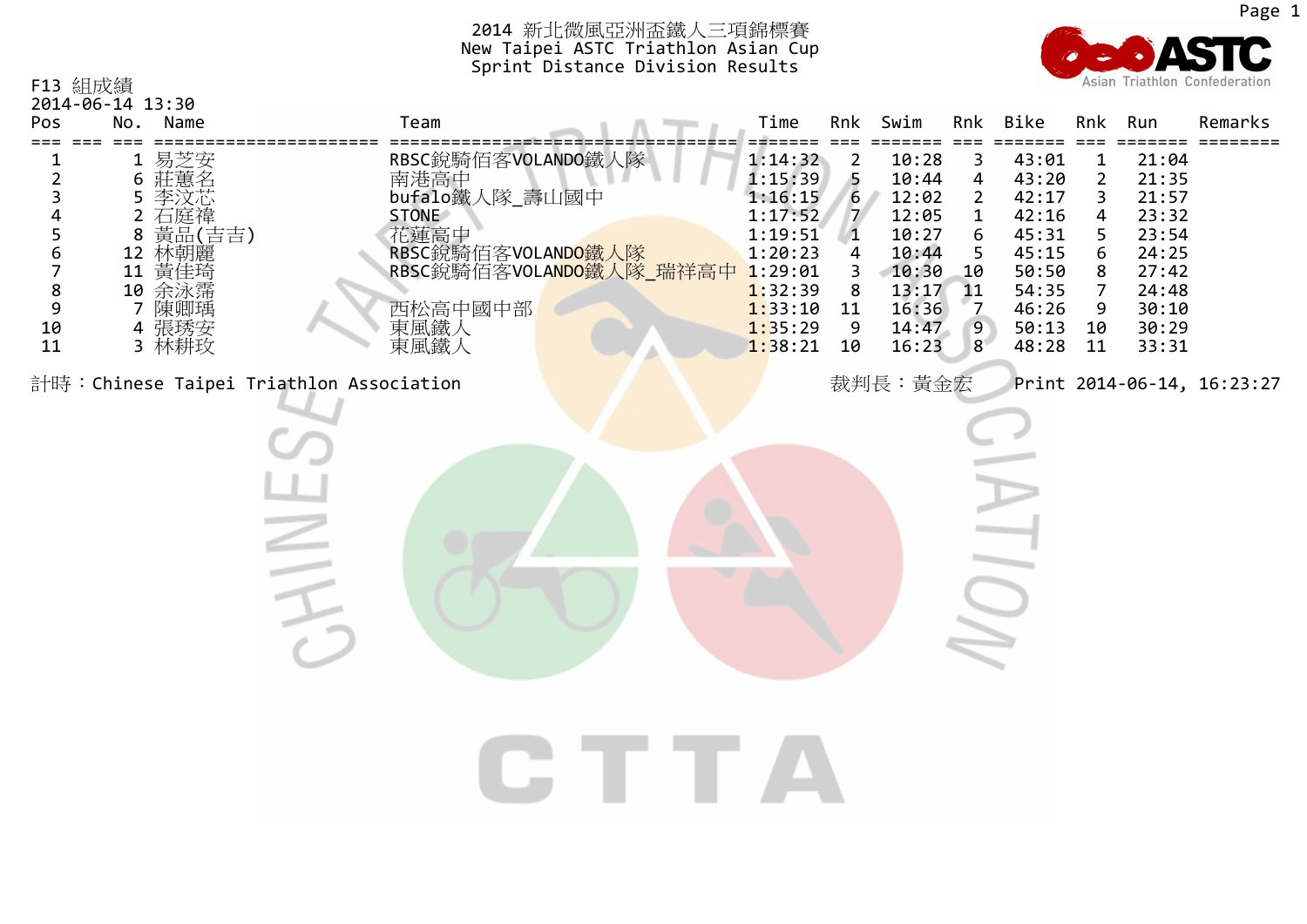

F13 組成績 2014‐06‐14 13:30 Pos No. Name Team Time Rnk Swim Rnk Bike Rnk Run Remarks === === ====================== ================================== ======= === ======= === ======= === ======= ======== ===1 易芝安 RBSC銳騎佰客VOLANDO鐵人隊 1:14:32<br>南港高中 1:15:39 43:01 12 10:28 31 21:04 6 莊蕙名 南港高中 10:44 43:20 21:35 5422 李汶芯 bufalo鐵人隊 \_壽山國中 1:16:15 6 12:02 42:17 21:57 5 李汶芯 233 石庭禕 STONE 1:17:52 7 12:05 1 42:16 4 23:32 4 2 10:27 45:31 23:54 88 黃品(吉吉) 花蓮高中 1:19:51 1655 66 12 林朝麗 RBSC銳騎佰客VOLAND<mark>O鐵人</mark>隊 1:20:23 10:44 45:15 24:25 4567 10:30 10 50:50 <sup>11</sup> 黃佳琦 RBSC銳騎佰客VOLANDO鐵人隊 \_瑞祥高中 1:29:01 38 27:42 810 余泳霈 1:32:39 13:17 11 54:35 24:48 8797 陳卿瑀 陳卿瑀 西松高中國中部 1:33:10 <sup>11</sup> 16:36 46:26 30:10 794 張琇安 4 張琇安 インディング 東風鐵人 インディング インタン インタン 1:35:29 9 14:47 9 50:13 10 30:29 10 3 林耕玫 林耕玫 東風鐵人 1:38:21 <sup>10</sup> 16:23 48:28 11 33:31 118計時:Chinese Taipei Triathlon Association **Nation Association** Triation and Bulletin and Triation and Triation and T  $\geq$  $\overline{O}$ CITTA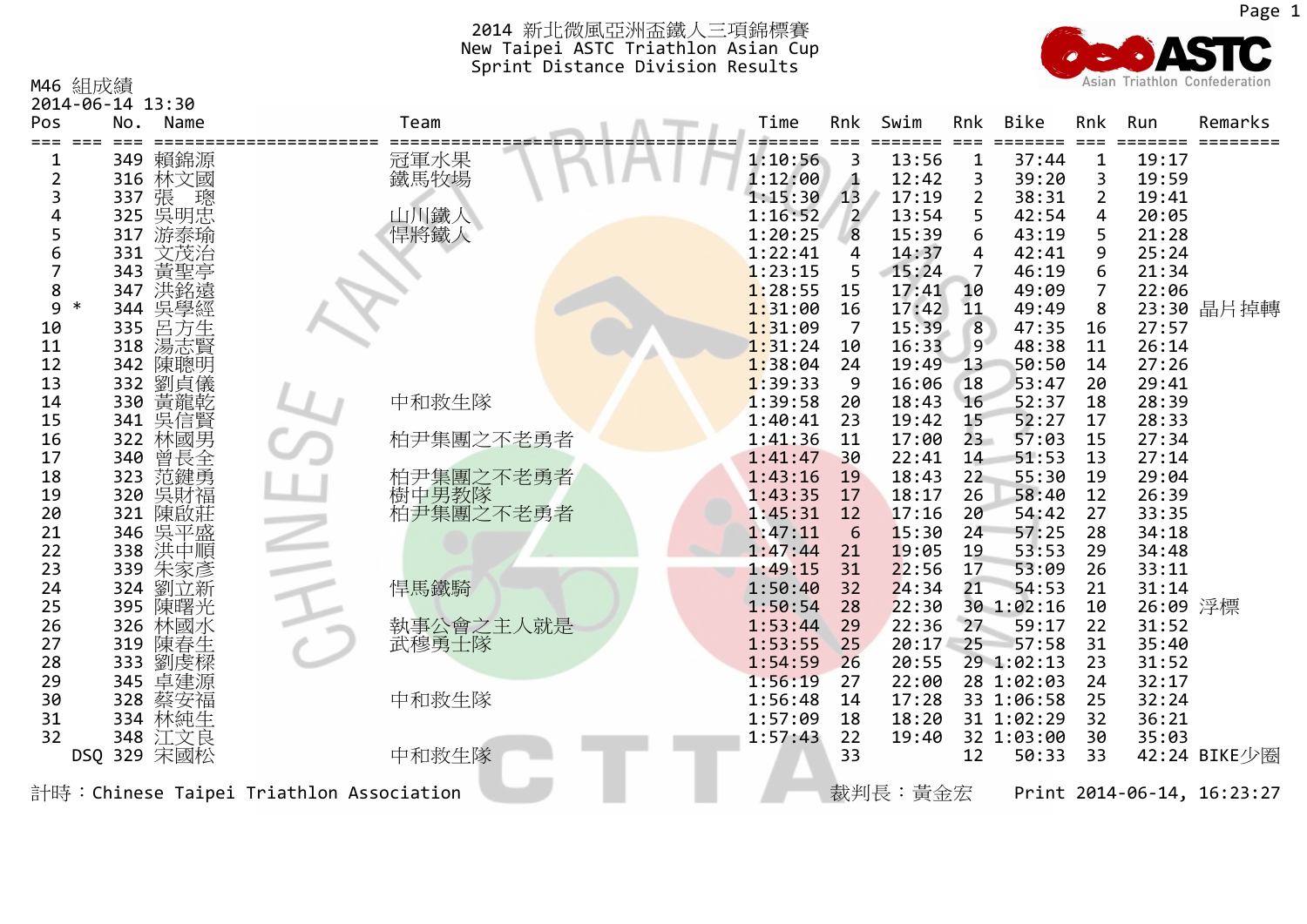M46 組成績



| 2014-06-14 13:30 |         |                    |                                         |              |  |         |                |              |                |                         |                |          |                            |
|------------------|---------|--------------------|-----------------------------------------|--------------|--|---------|----------------|--------------|----------------|-------------------------|----------------|----------|----------------------------|
| Pos              | No.     | Name               |                                         | Team         |  | Time    | Rnk            | Swim         | Rnk            | <b>Bike</b>             | Rnk            | Run      | Remarks                    |
|                  |         |                    |                                         |              |  |         |                | ====         |                | $=$ $=$ $=$ $=$ $=$ $=$ | $=$ $=$ $=$    |          |                            |
| 1                |         | 349 賴錦源            |                                         | 冠軍水果<br>鐵馬牧場 |  | 1:10:56 | 3              | 13:56        | 1              | 37:44                   | $\mathbf{1}$   | 19:17    |                            |
| $\overline{2}$   |         | 316 林文國            |                                         |              |  | 1:12:00 | 4              | 12:42        | 3              | 39:20                   | 3              | 19:59    |                            |
| 3                | 337 張   | 璁                  |                                         |              |  | 1:15:30 | 13             | 17:19        | $\overline{2}$ | 38:31                   | $\overline{2}$ | 19:41    |                            |
| 4                |         |                    |                                         | 山川鐵人         |  | 1:16:52 | $\overline{2}$ | 13:54        | 5              | 42:54                   | 4              | 20:05    |                            |
| 5                |         | 325 吳明忠<br>317 游泰瑜 |                                         | 悍將鐵人         |  | 1:20:25 | 8              | 15:39        | 6              | 43:19                   | 5              | 21:28    |                            |
| 6                | 331     | 文茂治                |                                         |              |  | 1:22:41 | 4              | 14:37        | 4              | 42:41                   | 9              | 25:24    |                            |
|                  | 343     | 黃聖亭                |                                         |              |  | 1:23:15 | 5              | 15:24        | 7              | 46:19                   | 6              | 21:34    |                            |
| 8                | 347     | 洪銘遠                |                                         |              |  | 1:28:55 | 15             | 17:41        | 10             | 49:09                   | $\overline{7}$ | 22:06    |                            |
| 9                | 344     | 吳學經                |                                         |              |  | 1:31:00 | 16             | 17:42        | 11             | 49:49                   | 8              |          | 23:30 晶片掉轉                 |
| 10               | 335     | 呂方生                |                                         |              |  | 1:31:09 | 7              | 15:39        | 8              | 47:35                   | 16             | 27:57    |                            |
| 11               | 318     | 湯志賢                |                                         |              |  | 1:31:24 | 10             | 16:33        | 9              | 48:38                   | 11             | 26:14    |                            |
| 12               | 342     | 陳聰明                |                                         |              |  | 1:38:04 | 24             | 19:49        | 13             | 50:50                   | 14             | 27:26    |                            |
| 13               | 332     | 劉貞儀                |                                         |              |  | 1:39:33 | 9              | 16:06        | 18             | 53:47                   | 20             | 29:41    |                            |
| 14               | 330     | 黃龍乾                |                                         | 中和救生隊        |  | 1:39:58 | 20             | 18:43        | 16             | 52:37                   | 18             | 28:39    |                            |
| 15               | 341     | 吳信賢                |                                         |              |  | 1:40:41 | 23             | 19:42        | 15             | 52:27                   | 17             | 28:33    |                            |
| 16               | 322     | 林國男                |                                         | 柏尹集團之不老勇者    |  | 1:41:36 | 11             | 17:00        | $23 -$         | 57:03                   | 15             | 27:34    |                            |
| 17               | 340     | 曾長全                |                                         |              |  | 1:41:47 | 30             | 22:41        | 14             | 51:53                   | 13             | 27:14    |                            |
| 18               | 323     | 范鍵勇                |                                         | 柏尹集團之不老勇者    |  | 1:43:16 | 19             | 18:43        | 22             | 55:30                   | 19             | 29:04    |                            |
| 19               | 320     | 吳財福                |                                         | 樹中男教隊        |  | 1:43:35 | 17             | 18:17        | 26             | 58:40                   | 12             | 26:39    |                            |
| 20               | 321     | 陳啟莊                |                                         | 柏尹集團之不老勇者    |  | 1:45:31 | 12             | 17:16        | 20             | 54:42                   | 27             | 33:35    |                            |
| 21               | 346     | 吳平盛                |                                         |              |  | 1:47:11 | 6              | 15:30        | 24             | 57:25                   | 28             | 34:18    |                            |
| 22               |         | 338 洪中順            |                                         |              |  | 1:47:44 | 21             | 19:05        | 19             | 53:53                   | 29             | 34:48    |                            |
| 23               | 339     | 朱家彥                |                                         |              |  | 1:49:15 | 31             | 22:56        | 17             | 53:09                   | 26             | 33:11    |                            |
| 24               | 324     | 劉立新                |                                         | 悍馬鐵騎         |  | 1:50:40 | 32             | 24:34        | 21             | 54:53                   | 21             | 31:14    |                            |
| 25               | 395     | 陳曙光                |                                         |              |  | 1:50:54 | 28             | 22:30        |                | 30 1:02:16              | 10             | 26:09 浮標 |                            |
| 26               | 326     | 林國水                |                                         | 執事公會之主人就是    |  | 1:53:44 | 29             | 22:36        | 27             | 59:17                   | 22             | 31:52    |                            |
| 27               | 319     | 陳春生                |                                         | 武穆勇士隊        |  | 1:53:55 | 25             | $20:17 - 25$ |                | 57:58                   | 31             | 35:40    |                            |
| 28               | 333     | 劉虔樑                |                                         |              |  | 1:54:59 | 26             | 20:55        |                | 29 1:02:13              | 23             | 31:52    |                            |
| 29               |         | 345 卓建源            |                                         |              |  | 1:56:19 | 27             | 22:00        |                | 28 1:02:03              | 24             | 32:17    |                            |
| 30               | 328     | 蔡安福                |                                         | 中和救生隊        |  | 1:56:48 | 14             | 17:28        |                | 33 1:06:58              | 25             | 32:24    |                            |
| 31               | 334     | 林純生                |                                         |              |  | 1:57:09 | 18             | 18:20        |                | 31 1:02:29              | 32             | 36:21    |                            |
| 32               |         | 348 江文良            |                                         |              |  | 1:57:43 | 22             | 19:40        |                | 32 1:03:00              | 30             | 35:03    |                            |
|                  | DSQ 329 | 宋國松                |                                         | 中和救生隊        |  |         | 33             |              | 12             | 50:33                   | 33             |          | 42:24 BIKE少圈               |
|                  |         |                    | 計時:Chinese Taipei Triathlon Association |              |  |         |                | 裁判長:黃金宏      |                |                         |                |          | Print 2014-06-14, 16:23:27 |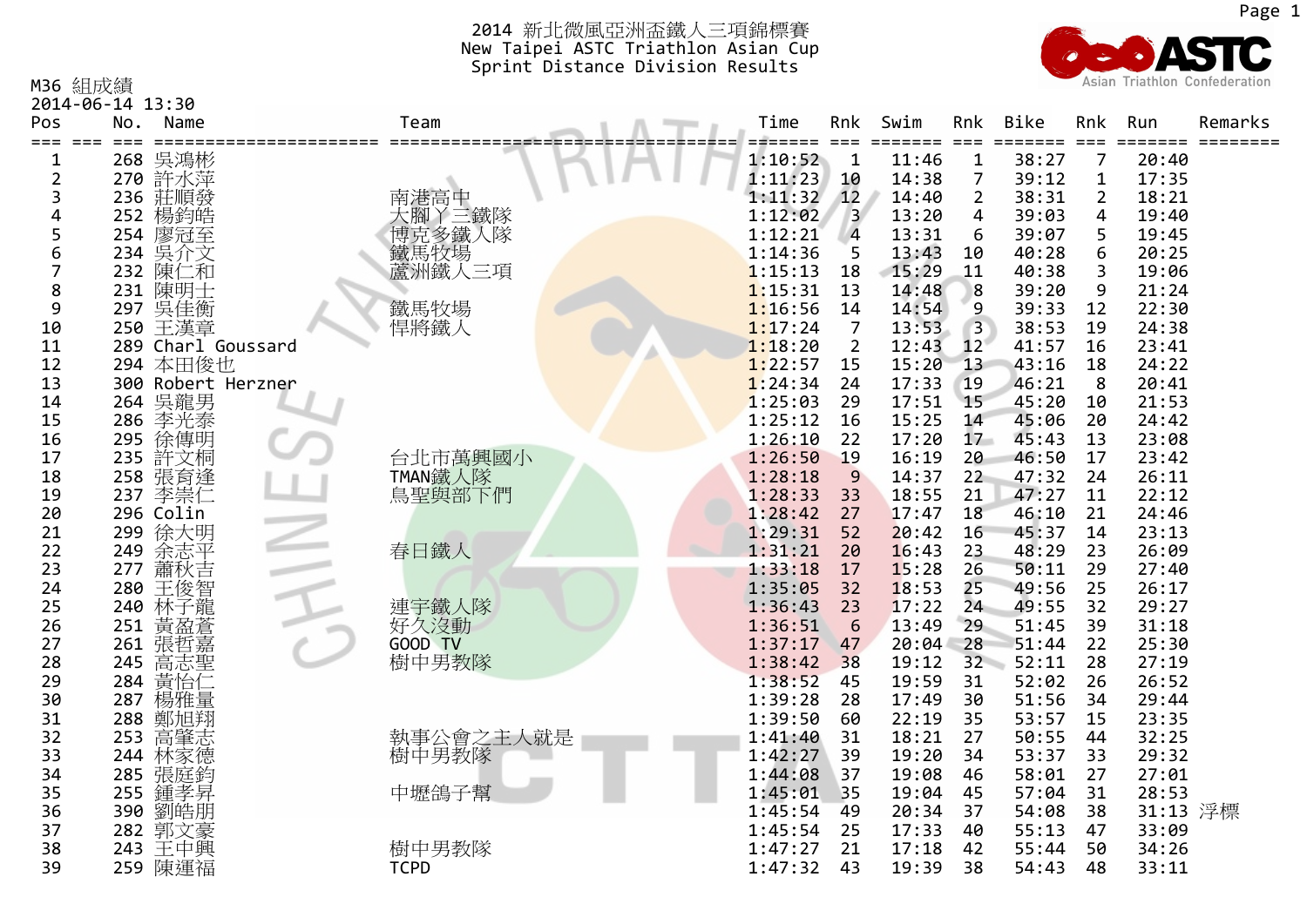

| M36 組成績                                |     |                         |                           |  |                |                |               |                 |                                            |                |                | Asian Triathlon Confederation |
|----------------------------------------|-----|-------------------------|---------------------------|--|----------------|----------------|---------------|-----------------|--------------------------------------------|----------------|----------------|-------------------------------|
| 2014-06-14 13:30<br>Pos<br>=== === === | No. | Name<br>$=$ $=$ $=$ $=$ | Team                      |  | Time<br>#===== | Rnk<br>$===$   | Swim<br>===== | Rnk<br>$==$     | <b>Bike</b><br>$=$ $=$ $=$ $=$ $=$ $=$ $=$ | Rnk<br>$===$   | Run<br>===== = | Remarks                       |
| 1                                      | 268 | 吳鴻彬                     |                           |  | 1:10:52        | 1              | 11:46         | 1               | 38:27                                      | 7              | 20:40          |                               |
| 2                                      |     | 270 許水萍                 |                           |  | 1:11:23        | 10             | 14:38         | 7               | 39:12                                      | $\mathbf{1}$   | 17:35          |                               |
| 3                                      |     | 236 莊順發<br>252 楊鈞皓      | 南港高中<br>大腳丫三鐵隊            |  | 1:11:32        | 12             | 14:40         | 2               | 38:31                                      | $\overline{2}$ | 18:21          |                               |
| 4                                      |     |                         |                           |  | 1:12:02        | $\overline{3}$ | 13:20         | 4               | 39:03                                      | $\overline{4}$ | 19:40          |                               |
| 5                                      |     | 254 廖冠至                 |                           |  | 1:12:21        | $\overline{4}$ | 13:31         | 6               | 39:07                                      | 5              | 19:45          |                               |
| 6                                      |     | 234 吳介文                 | 八脚十二秒<br>博克多鐵人隊<br>蘆洲鐵人三項 |  | 1:14:36        | 5              | 13:43         | 10              | 40:28                                      | 6              | 20:25          |                               |
| 7                                      |     | 232 陳仁和                 |                           |  | 1:15:13        | 18             | 15:29         | 11              | 40:38                                      | 3              | 19:06          |                               |
| 8                                      |     | 231 陳明士                 |                           |  | 1:15:31        | 13             | 14:48         | 8               | 39:20                                      | 9              | 21:24          |                               |
| 9                                      |     | 297 吳佳衡                 | 鐵馬牧場                      |  | 1:16:56        | 14             | 14:54         | 9               | 39:33                                      | 12             | 22:30          |                               |
| 10                                     |     | 250 王漢章                 | 悍將鐵人                      |  | 1:17:24        | 7              | 13:53         | 3               | 38:53                                      | 19             | 24:38          |                               |
| 11                                     |     | 289 Charl Goussard      |                           |  | 1:18:20        | $\overline{2}$ | 12:43         | 12 <sup>7</sup> | 41:57                                      | 16             | 23:41          |                               |
| 12                                     |     | 294 本田俊也                |                           |  | 1:22:57        | 15             | 15:20         | 13              | 43:16                                      | 18             | 24:22          |                               |
| 13                                     |     | 300 Robert Herzner      |                           |  | 1:24:34        | 24             | 17:33         | 19              | 46:21                                      | 8              | 20:41          |                               |
| 14                                     |     | 264 吳龍男<br>286 李光泰      |                           |  | 1:25:03        | 29             | 17:51         | 15              | 45:20                                      | 10             | 21:53          |                               |
| 15                                     |     |                         |                           |  | 1:25:12        | 16             | 15:25         | 14              | 45:06                                      | 20             | 24:42          |                               |
| 16                                     |     | 295 徐傳明                 |                           |  | 1:26:10        | 22             | 17:20         | 17 <sub>1</sub> | 45:43                                      | 13             | 23:08          |                               |
| 17                                     |     | 235 許文桐                 | 台北市萬興國小                   |  | 1:26:50        | 19             | 16:19         | 20              | 46:50                                      | 17             | 23:42          |                               |
| 18                                     |     |                         | TMAN鐵人隊                   |  | 1:28:18        | 9              | 14:37         | 22              | 47:32                                      | 24             | 26:11          |                               |
| 19                                     |     | 258 張育逢<br>237 李崇仁      | 鳥聖與部下們                    |  | 1:28:33        | 33             | 18:55         | 21              | 47:27                                      | 11             | 22:12          |                               |
| 20                                     |     | 296 Colin               |                           |  | 1:28:42        | 27             | 17:47         | 18              | 46:10                                      | 21             | 24:46          |                               |
| 21                                     | 299 | 徐大明                     |                           |  | 1:29:31        | 52             | 20:42         | 16              | 45:37                                      | 14             | 23:13          |                               |
| 22                                     | 249 | 余志平                     | 春日鐵人                      |  | 1:31:21        | 20             | 16:43         | 23              | 48:29                                      | 23             | 26:09          |                               |
| 23                                     | 277 | 蕭秋吉                     |                           |  | 1:33:18        | 17             | 15:28         | 26              | 50:11                                      | 29             | 27:40          |                               |
| 24                                     | 280 | 王俊智                     |                           |  | 1:35:05        | 32             | 18:53         | 25              | 49:56                                      | 25             | 26:17          |                               |
| 25                                     | 240 | 林子龍                     | 連宇鐵人隊                     |  | 1:36:43        | 23             | 17:22         | 24              | 49:55                                      | 32             | 29:27          |                               |
| 26                                     | 251 | 黃盈蒼                     | 好久沒動                      |  | 1:36:51        | 6              | 13:49         | 29              | 51:45                                      | 39             | 31:18          |                               |
| 27                                     | 261 | 張哲嘉                     | GOOD TV                   |  | 1:37:17        | 47             | 20:04         | 28              | 51:44                                      | 22             | 25:30          |                               |
| 28                                     | 245 | 高志聖<br>黄怡仁              | 樹中男教隊                     |  | 1:38:42        | 38             | 19:12         | 32              | 52:11                                      | 28             | 27:19          |                               |
| 29                                     | 284 |                         |                           |  | 1:38:52        | 45             | 19:59         | 31              | 52:02                                      | 26             | 26:52          |                               |
| 30                                     |     | 287 楊雅量                 |                           |  | 1:39:28        | 28             | 17:49         | 30              | 51:56                                      | 34             | 29:44          |                               |
| 31                                     | 288 | 鄭旭翔                     |                           |  | 1:39:50        | 60             | 22:19         | 35              | 53:57                                      | 15             | 23:35          |                               |
| 32                                     | 253 | 高肇志                     | 執事公會之主人就是<br>樹中男教隊        |  | 1:41:40        | 31             | 18:21         | 27              | 50:55                                      | 44             | 32:25          |                               |
| 33                                     | 244 | 林家德                     |                           |  | 1:42:27        | 39             | 19:20         | 34              | 53:37                                      | 33             | 29:32          |                               |
| 34                                     |     | 285 張庭鈞                 |                           |  | 1:44:08        | 37             | 19:08         | 46              | 58:01                                      | 27             | 27:01          |                               |
| 35                                     |     | 255 鍾孝昇                 | 中壢鴿子幫                     |  | 1:45:01        | 35             | 19:04         | 45              | 57:04                                      | 31             | 28:53          |                               |
| 36                                     | 390 | 劉皓朋                     |                           |  | 1:45:54        | 49             | 20:34         | 37              | 54:08                                      | 38             | 31:13 浮標       |                               |
| 37                                     |     | 282 郭文豪                 |                           |  | 1:45:54        | 25             | 17:33         | 40              | 55:13                                      | 47             | 33:09          |                               |
| 38                                     |     | 243 王中興                 | 樹中男教隊                     |  | 1:47:27        | 21             | 17:18         | 42              | 55:44                                      | 50             | 34:26          |                               |
| 39                                     |     | 259 陳運福                 | <b>TCPD</b>               |  | 1:47:32        | 43             | 19:39         | 38              | 54:43                                      | 48             | 33:11          |                               |
|                                        |     |                         |                           |  |                |                |               |                 |                                            |                |                |                               |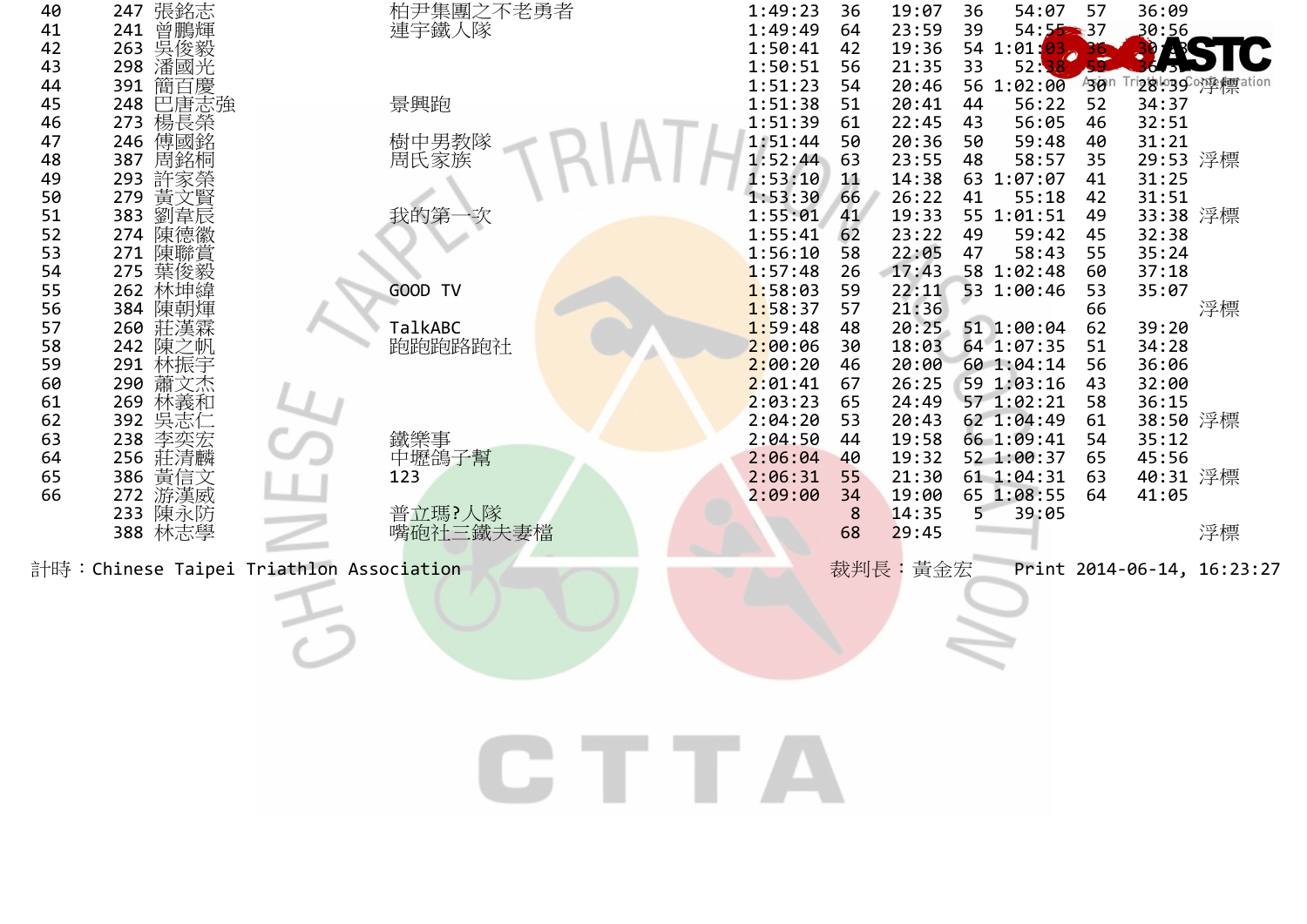| 40<br>41<br>42<br>43<br>44<br>45<br>46<br>47<br>48<br>49<br>50<br>51<br>52<br>53<br>54<br>55<br>56<br>57<br>58<br>59<br>60<br>61<br>62<br>63<br>64<br>65<br>66 | 張銘志<br>曾鵬輝<br>247<br>241<br>吳俊毅<br>263<br>潘國光<br>298<br>簡百慶<br>391<br>巴唐志強<br>248<br>楊長榮<br>273<br>傅國銘<br>246<br>周銘桐<br>387<br>293 許家榮<br>279<br>黃文賢<br>劉韋辰<br>383<br>陳德徽<br>274<br>271<br>陳聯賞<br>275<br>葉俊毅<br>262<br>林坤緯<br>384<br>陳朝煇<br>260<br>莊漢霖<br>242<br>陳之帆<br>林振宇<br>291<br>290<br>蕭文杰<br>林義和<br>269<br>吳志仁<br>392<br>238<br>李奕宏<br>莊清麟<br>256<br>386<br>黃信文<br>游漢威<br>272<br>陳永防<br>233<br>388 林志學<br>計時:Chinese Taipei Triathlon Association | 柏尹集團之不老勇者<br>連宇鐵人隊<br>景興跑<br>樹中男教隊<br>周氏家族<br>我的第<br>GOOD TV<br>TalkABC<br>跑跑跑路跑社<br>鐵樂事<br>中壢鴿子幫<br>123<br>普立瑪?人隊<br>嘴砲社三鐵夫妻檔 |              | 1:49:23<br>1:49:49<br>1:50:41<br>1:50:51<br>1:51:23<br>1:51:38<br>1:51:39<br>1:51:44<br>1:52:44<br>1:53:10<br>1:53:30<br>1:55:01<br>1:55:41<br>1:56:10<br>1:57:48<br>1:58:03<br>1:58:37<br>1:59:48<br>2:00:06<br>2:00:20<br>2:01:41<br>2:03:23<br>2:04:20<br>2:04:50<br>2:06:04<br>2:06:31<br>2:09:00 | 36<br>64<br>42<br>56<br>54<br>51<br>61<br>50<br>63<br>11<br>66<br>41<br>62<br>58<br>26<br>59<br>57<br>48<br>30<br>46<br>67<br>65<br>53<br>44<br>40<br>55<br>34<br>8<br>68 | 19:07<br>23:59<br>19:36<br>21:35<br>20:46<br>20:41<br>22:45<br>20:36<br>23:55<br>14:38<br>26:22<br>19:33<br>23:22<br>22:05<br>17:43<br>22:11<br>21:36<br>20:25<br>18:03<br>20:00<br>26:25<br>24:49<br>20:43<br>19:58<br>19:32<br>21:30<br>19:00<br>14:35<br>29:45<br>裁判長: 黃金宏 | 36<br>39<br>33<br>44<br>43<br>50<br>48<br>41<br>49<br>47<br>5 | 54:07<br>54:52337<br>54 1:01:<br>52:38<br>56 1:02:00<br>56:22<br>56:05<br>59:48<br>58:57<br>63 1:07:07<br>55:18<br>55 1:01:51<br>59:42<br>58:43<br>58 1:02:48<br>53 1:00:46<br>51 1:00:04<br>64 1:07:35<br>60 1:04:14<br>59 1:03:16<br>57 1:02:21<br>62 1:04:49<br>66 1:09:41<br>52 1:00:37<br>61 1:04:31<br>65 1:08:55<br>39:05 | 57<br>490n<br>52<br>46<br>40<br>35<br>41<br>42<br>49<br>45<br>55<br>60<br>53<br>66<br>62<br>51<br>56<br>43<br>58<br>61<br>54<br>65<br>63<br>64 | 36:09<br>30:56<br>34:37<br>32:51<br>31:21<br>29:53 浮標<br>31:25<br>31:51<br>33:38 浮標<br>32:38<br>35:24<br>37:18<br>35:07<br>39:20<br>34:28<br>36:06<br>32:00<br>36:15<br>38:50 浮標<br>35:12<br>45:56<br>40:31 浮標<br>41:05 | Trigiol.ggCor孪標ation<br>浮標<br>浮標<br>Print 2014-06-14, 16:23:27 |
|----------------------------------------------------------------------------------------------------------------------------------------------------------------|----------------------------------------------------------------------------------------------------------------------------------------------------------------------------------------------------------------------------------------------------------------------------------------------------------------------------------------------------------------------------------------------------------------------------------------------------------|--------------------------------------------------------------------------------------------------------------------------------|--------------|-------------------------------------------------------------------------------------------------------------------------------------------------------------------------------------------------------------------------------------------------------------------------------------------------------|---------------------------------------------------------------------------------------------------------------------------------------------------------------------------|-------------------------------------------------------------------------------------------------------------------------------------------------------------------------------------------------------------------------------------------------------------------------------|---------------------------------------------------------------|----------------------------------------------------------------------------------------------------------------------------------------------------------------------------------------------------------------------------------------------------------------------------------------------------------------------------------|------------------------------------------------------------------------------------------------------------------------------------------------|-------------------------------------------------------------------------------------------------------------------------------------------------------------------------------------------------------------------------|----------------------------------------------------------------|
|                                                                                                                                                                |                                                                                                                                                                                                                                                                                                                                                                                                                                                          |                                                                                                                                | <b>CTTTA</b> |                                                                                                                                                                                                                                                                                                       |                                                                                                                                                                           |                                                                                                                                                                                                                                                                               |                                                               |                                                                                                                                                                                                                                                                                                                                  |                                                                                                                                                |                                                                                                                                                                                                                         |                                                                |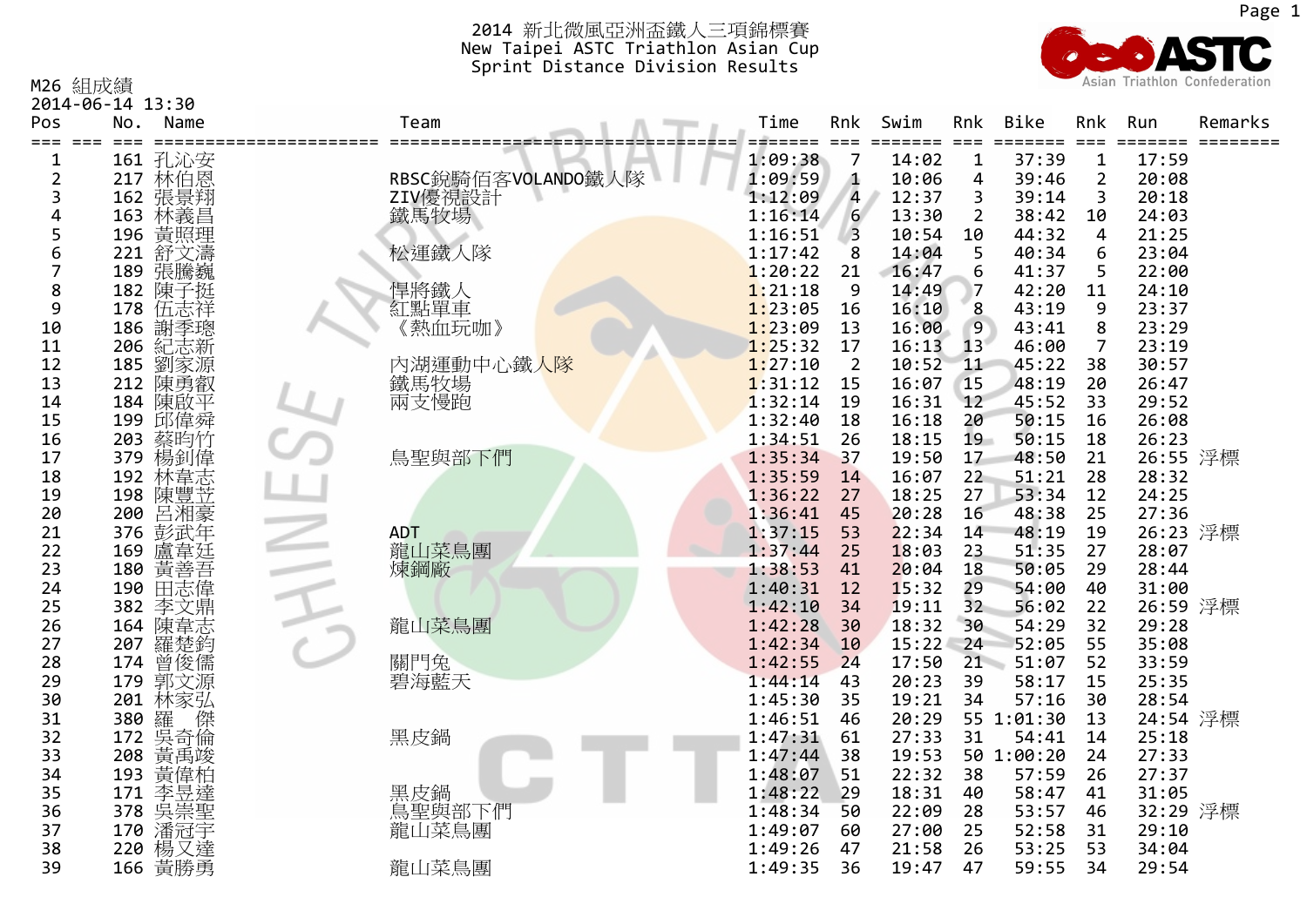

M26 組成績

2014‐06‐14 13:30

| Pos<br>===<br>$===$ | No. | Name                          | Team               | Time               | Rnk<br>$===$   | Swim           | Rnk            | <b>Bike</b>    | Rnk<br>$===$   | Run            | Remarks |
|---------------------|-----|-------------------------------|--------------------|--------------------|----------------|----------------|----------------|----------------|----------------|----------------|---------|
| 1                   |     | 161 孔沁安                       |                    | 1:09:38            | 7              | 14:02          | $\mathbf{1}$   | 37:39          | $\mathbf 1$    | 17:59          |         |
| 2                   |     | 217 林伯恩                       | RBSC銳騎佰客VOLANDO鐵人隊 | 1:09:59            | Δ              | 10:06          | 4              | 39:46          | $\overline{2}$ | 20:08          |         |
| 3                   | 162 | 張景翔                           | ZIV優視設計            | 1:12:09            | 4              | 12:37          | 3              | 39:14          | 3              | 20:18          |         |
| 4                   | 163 | 林義昌                           | 鐵馬牧場               | 1:16:14            | 6              | 13:30          | $\overline{2}$ | 38:42          | 10             | 24:03          |         |
| 5                   | 196 | 黃照理                           |                    | 1:16:51            | 3              | 10:54          | 10             | 44:32          | 4              | 21:25          |         |
| 6                   | 221 | 舒文濤                           | 松運鐵人隊              | 1:17:42            | 8              | 14:04          | 5              | 40:34          | 6              | 23:04          |         |
| 7                   | 189 | 張騰巍                           |                    | 1:20:22            | 21             | 16:47          | 6              | 41:37          | 5              | 22:00          |         |
| 8                   | 182 | 陳子挺                           | 悍將鐵人               | 1:21:18            | 9              | 14:49          |                | 42:20          | 11             | 24:10          |         |
| 9                   | 178 | 伍志祥                           | 紅點單車               | 1:23:05            | 16             | 16:10          | 8              | 43:19          | 9              | 23:37          |         |
| 10                  |     | 186 謝季聰<br>206 紀志新<br>185 劉家源 | 《熱血玩咖》             | 1:23:09            | 13             | 16:00          | 9              | 43:41          | 8              | 23:29          |         |
| 11                  |     |                               |                    | 1:25:32            | 17             | 16:13          | 13             | 46:00          | $\overline{7}$ | 23:19          |         |
| 12                  |     |                               | 内湖運動中心鐵人隊          | 1:27:10            | $\overline{2}$ | 10:52          | 11             | 45:22          | 38             | 30:57          |         |
| 13                  | 212 | 陳勇叡                           | 鐵馬牧場               | 1:31:12            | 15             | 16:07          | 15             | 48:19          | 20             | 26:47          |         |
| 14                  | 184 | 陳啟平                           | 兩支慢跑               | 1:32:14            | 19             | 16:31          | 12             | 45:52          | 33             | 29:52          |         |
| 15                  | 199 | 邱偉舜                           |                    | 1:32:40            | 18             | 16:18          | 20             | 50:15          | 16             | 26:08          |         |
| 16                  | 203 | 蔡昀竹                           |                    | 1:34:51            | 26             | 18:15          | 19             | 50:15          | 18             | 26:23          |         |
| 17                  | 379 | 楊釗偉                           | 鳥聖與部下們             | 1:35:34            | 37             | 19:50          | 17             | 48:50          | 21             | 26:55 浮標       |         |
| 18                  | 192 | 林韋志                           |                    | 1:35:59            | 14<br>27       | 16:07          | 22<br>27       | 51:21<br>53:34 | 28<br>12       | 28:32          |         |
| 19<br>20            | 200 | 198 陳豐苙<br>呂湘豪                |                    | 1:36:22<br>1:36:41 | 45             | 18:25<br>20:28 | 16             | 48:38          | 25             | 24:25<br>27:36 |         |
| 21                  | 376 | 彭武年                           | <b>ADT</b>         | 1:37:15            | 53             | 22:34          | 14             | 48:19          | 19             | 26:23 浮標       |         |
| 22                  | 169 | 盧韋廷                           | 龍山菜鳥團              | 1:37:44            | 25             | 18:03          | 23             | 51:35          | 27             | 28:07          |         |
| 23                  | 180 | 黃善吾                           | 煉鋼廠                | 1:38:53            | 41             | 20:04          | 18             | 50:05          | 29             | 28:44          |         |
| 24                  | 190 | 田志偉                           |                    | 1:40:31            | 12             | 15:32          | 29             | 54:00          | 40             | 31:00          |         |
| 25                  | 382 | 李文鼎                           |                    | 1:42:10            | 34             | 19:11          | 32             | 56:02          | 22             | 26:59 浮標       |         |
| 26                  | 164 | 陳韋志                           | 龍山菜鳥團              | 1:42:28            | 30             | 18:32          | 30             | 54:29          | 32             | 29:28          |         |
| 27                  | 207 | 羅楚鈞                           |                    | 1:42:34            | 10             | 15:22          | 24             | 52:05          | 55             | 35:08          |         |
| 28                  | 174 | 曾俊儒                           | 關門兔                | 1:42:55            | 24             | 17:50          | 21             | 51:07          | 52             | 33:59          |         |
| 29                  | 179 | 郭文源                           | 碧海藍天               | 1:44:14            | 43             | 20:23          | 39             | 58:17          | 15             | 25:35          |         |
| 30                  | 201 | 林家弘                           |                    | 1:45:30            | 35             | 19:21          | 34             | 57:16          | 30             | 28:54          |         |
| 31                  | 380 | 羅呉 奇                          |                    | 1:46:51            | 46             | 20:29          |                | 55 1:01:30     | 13             | 24:54 浮標       |         |
| 32                  | 172 |                               | 黑皮鍋                | 1:47:31            | 61             | 27:33          | 31             | 54:41          | 14             | 25:18          |         |
| 33                  | 208 | 黃禹竣                           |                    | 1:47:44            | 38             | 19:53          |                | 50 1:00:20     | 24             | 27:33          |         |
| 34                  | 193 | 黃偉柏                           |                    | 1:48:07            | 51             | 22:32          | 38             | 57:59          | 26             | 27:37          |         |
| 35                  | 171 | 李昱達                           | 黑皮鍋<br>鳥聖與部下們      | 1:48:22            | 29             | 18:31          | 40             | 58:47          | 41             | 31:05          |         |
| 36                  | 378 | 吳崇聖                           |                    | 1:48:34            | 50             | 22:09          | 28             | 53:57          | 46             | 32:29 浮標       |         |
| 37                  | 170 | 潘冠宇                           | 龍山菜鳥團              | 1:49:07            | 60             | 27:00          | 25             | 52:58          | 31             | 29:10          |         |
| 38                  | 220 | 楊又達                           |                    | 1:49:26            | 47             | 21:58          | 26             | 53:25          | 53             | 34:04          |         |
| 39                  |     | 166 黃勝勇                       | 龍山菜鳥團              | 1:49:35            | 36             | 19:47          | 47             | 59:55          | 34             | 29:54          |         |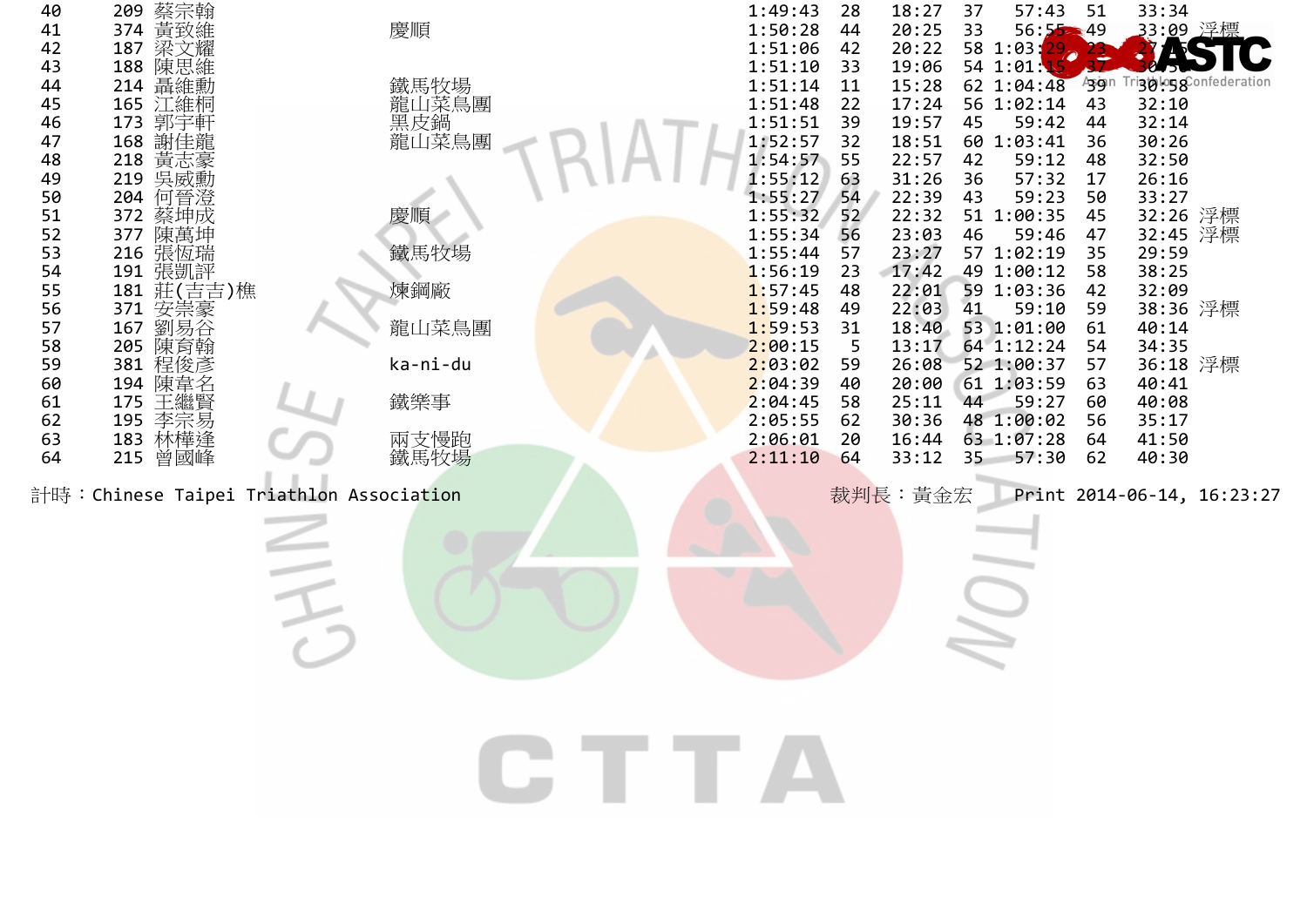| 40       | 蔡宗翰<br>209                               |                      |              | 1:49:43                 | 28 | 18:27          | 37       | 57:43           | 51       | 33:34                |                            |
|----------|------------------------------------------|----------------------|--------------|-------------------------|----|----------------|----------|-----------------|----------|----------------------|----------------------------|
| 41       | 374 黃致維                                  | 慶順                   |              | 1:50:28                 | 44 | 20:25          | 33       | $56:55 - 49$    |          | _33:09 浮標            |                            |
| 42       | 187 梁文耀                                  |                      |              | 1:51:06                 | 42 | 20:22          |          | 58 1:03:<br>29. |          |                      |                            |
| 43       | 188 陳思維                                  |                      |              | 1:51:10                 | 33 | 19:06          |          | 54 1:01:15      |          |                      | federation                 |
| 44       | 214 聶維勳                                  | 鐵馬牧場                 |              | 1:51:14                 | 11 | 15:28          |          | 62 1:04:48      | Asign    | ™9&iod?              |                            |
| 45       | 165 江維桐                                  |                      |              | 1:51:48                 | 22 | 17:24          |          | 56 1:02:14      | 43       | 32:10                |                            |
| 46       | 173 郭宇軒                                  | 論山菜鳥<br>黒皮鍋<br>龍山菜鳥團 |              | 1:51:51                 | 39 | 19:57          | 45       | 59:42           | 44       | 32:14                |                            |
| 47       | 168 謝佳龍                                  |                      |              | 1:52:57                 | 32 | 18:51          |          | 60 1:03:41      | 36       | 30:26                |                            |
| 48       | 218 黃志豪<br>219 吳威勳                       |                      |              | $1:54:57$ 55<br>1:55:12 | 63 | 22:57<br>31:26 | 42       | 59:12<br>57:32  | 48       | 32:50<br>26:16       |                            |
| 49<br>50 | 204                                      |                      |              | 1:55:27                 | 54 | 22:39          | 36<br>43 | 59:23           | 17<br>50 | 33:27                |                            |
| 51       | 何晉澄<br>蔡坤成<br>372                        | 慶順                   |              | 1:55:32                 | 52 | 22:32          |          | 51 1:00:35      | 45       |                      |                            |
| 52       | 陳萬坤<br>377                               |                      |              | 1:55:34                 | 56 | 23:03          | 46       | 59:46           | 47       | 32:26 浮標<br>32:45 浮標 |                            |
| 53       | 216 張恆瑞                                  | 鐵馬牧場                 |              | 1:55:44                 | 57 | 23:27          |          | 57 1:02:19      | 35       | 29:59                |                            |
| 54       |                                          |                      |              | 1:56:19                 | 23 | 17:42          |          | 49 1:00:12      | 58       | 38:25                |                            |
| 55       | 191 張凱評<br>181 莊(吉吉)樵                    | 煉鋼廠                  |              | 1:57:45                 | 48 | 22:01          |          | 59 1:03:36      | 42       | 32:09                |                            |
| 56       | 1371 167 氢锡石 2018<br>167 劉易育俊<br>381 经经济 |                      |              | 1:59:48                 | 49 | 22:03          | 41       | 59:10           | 59       | 38:36 浮標             |                            |
| 57       |                                          | 龍山菜鳥團                |              | 1:59:53                 | 31 | 18:40          |          | 53 1:01:00      | 61       | 40:14                |                            |
| 58       |                                          |                      |              | 2:00:15                 | 5  | 13:17          |          | 64 1:12:24      | 54       | 34:35                |                            |
| 59       |                                          | ka-ni-du             |              | 2:03:02                 | 59 | 26:08          |          | 52 1:00:37      | 57       | 36:18 浮標             |                            |
| 60       | 194 陳韋名                                  |                      |              | 2:04:39                 | 40 | 20:00          |          | 61 1:03:59      | 63       | 40:41                |                            |
| 61       | 王繼賢<br>175                               | 鐵樂事                  |              | 2:04:45                 | 58 | 25:11          | 44       | 59:27           | 60       | 40:08                |                            |
| 62       | 195 李宗易                                  |                      |              | 2:05:55                 | 62 | 30:36          |          | 48 1:00:02      | 56       | 35:17                |                            |
| 63       | 183 林樺逢                                  |                      |              | 2:06:01                 | 20 | 16:44          |          | 63 1:07:28      | 64       | 41:50                |                            |
| 64       | 215 曾國峰                                  | 兩支慢跑<br>鐵馬牧場         |              | 2:11:10                 | 64 | 33:12          | $35 -$   | 57:30           | 62       | 40:30                |                            |
|          |                                          |                      |              |                         |    |                |          |                 |          |                      |                            |
|          | 計時:Chinese Taipei Triathlon Association  |                      |              |                         |    | 裁判長:黃金宏        |          |                 |          |                      | Print 2014-06-14, 16:23:27 |
|          |                                          |                      |              |                         |    |                |          |                 |          |                      |                            |
|          |                                          |                      |              |                         |    |                |          |                 |          |                      |                            |
|          |                                          |                      |              |                         |    |                |          |                 |          |                      |                            |
|          |                                          |                      |              |                         |    |                |          |                 |          |                      |                            |
|          |                                          |                      |              |                         |    |                |          |                 |          |                      |                            |
|          |                                          |                      |              |                         |    |                |          |                 |          |                      |                            |
|          |                                          |                      |              |                         |    |                |          |                 |          |                      |                            |
|          |                                          |                      |              |                         |    |                |          |                 |          |                      |                            |
|          |                                          |                      |              |                         |    |                |          |                 |          |                      |                            |
|          |                                          |                      |              |                         |    |                |          |                 |          |                      |                            |
|          |                                          |                      |              |                         |    |                |          |                 |          |                      |                            |
|          |                                          |                      |              |                         |    |                |          |                 |          |                      |                            |
|          |                                          |                      |              |                         |    |                |          |                 |          |                      |                            |
|          |                                          |                      | <b>CTTTA</b> |                         |    |                |          |                 |          |                      |                            |
|          |                                          |                      |              |                         |    |                |          |                 |          |                      |                            |
|          |                                          |                      |              |                         |    |                |          |                 |          |                      |                            |
|          |                                          |                      |              |                         |    |                |          |                 |          |                      |                            |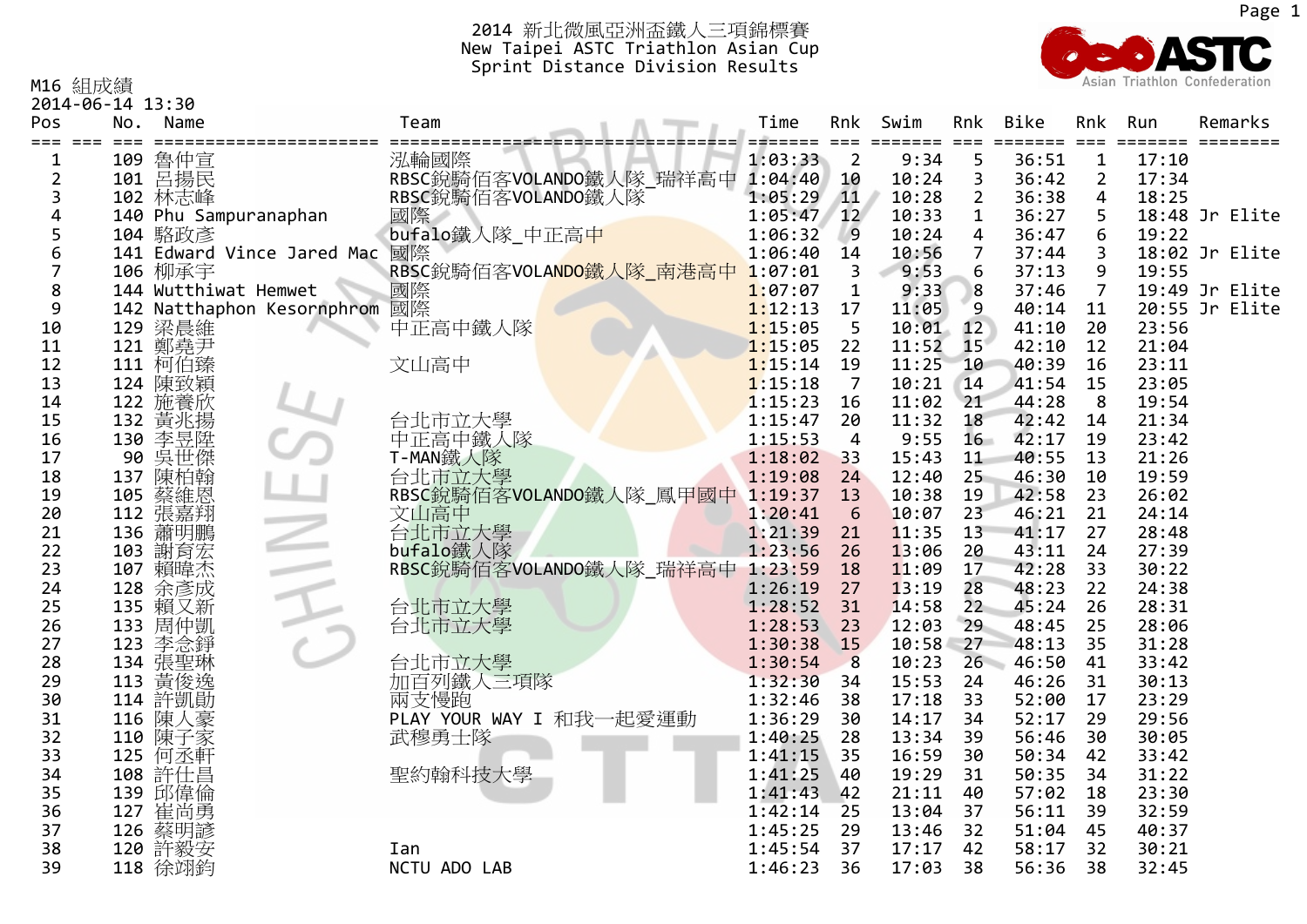

M16 組成績

2014‐06‐14 13:30

| Pos      | No. | Name                  |                            | Team                                                                                              | Time               |                 | Rnk Swim<br>==== | Rnk<br>$==$    | Bike<br>====== | Rnk            | Run            | Remarks        |
|----------|-----|-----------------------|----------------------------|---------------------------------------------------------------------------------------------------|--------------------|-----------------|------------------|----------------|----------------|----------------|----------------|----------------|
| 1        | 109 | 魯仲宣                   |                            | 泓輪國際                                                                                              | 1:03:33            | $\overline{2}$  | 9:34             | 5              | 36:51          | $\mathbf 1$    | 17:10          |                |
| 2        | 101 | 呂揚民                   |                            |                                                                                                   | 1:04:40            | 10              | 10:24            | 3              | 36:42          | $\overline{2}$ | 17:34          |                |
| 3        |     | 102 林志峰               |                            | RBSC銳騎佰客VOLANDO鐵人隊_瑞祥高中<br>RBSC銳騎佰客VOLANDO鐵人隊                                                     | 1:05:29            | $\sqrt{11}$     | 10:28            | $\overline{2}$ | 36:38          | 4              | 18:25          |                |
|          |     | 140 Phu Sampuranaphan |                            | 國際                                                                                                | 1:05:47            | 12              | 10:33            | $\mathbf{1}$   | 36:27          | 5              |                | 18:48 Jr Elite |
|          |     | 104 駱政彥               |                            | bufalo鐵人隊_中正高中                                                                                    | 1:06:32            | $^{\circ}$      | 10:24            | 4              | 36:47          | 6              | 19:22          |                |
|          |     |                       | 141 Edward Vince Jared Mac | 國際                                                                                                | 1:06:40            | 14              | 10:56            | $\overline{7}$ | 37:44          | 3              |                | 18:02 Jr Elite |
|          |     | 106 柳承宇               |                            | RBSC銳騎佰客VOLANDO鐵人隊_南港高中                                                                           | 1:07:01            | 3               | 9:53             | 6              | 37:13          | 9              | 19:55          |                |
| 8        |     |                       |                            |                                                                                                   | 1:07:07            | $\mathbf{1}$    | 9:33             | 8              | 37:46          | $\overline{7}$ |                | 19:49 Jr Elite |
| 9        |     |                       |                            | 106 柳承于<br>144 Wutthiwat Hemwet    國際<br>142 Natthaphon Kesornphrom 國際<br>129 鎏晨維         中正高中鐵人隊 | 1:12:13            | 17              | 11:05            | 9              | 40:14          | 11             |                | 20:55 Jr Elite |
| 10       |     |                       |                            |                                                                                                   | 1:15:05            | 5               | 10:01            | 12             | 41:10          | 20             | 23:56          |                |
| 11       |     | 121 鄭堯尹               |                            |                                                                                                   | 1:15:05            | 22              | 11:52            | 15             | 42:10          | 12             | 21:04          |                |
| 12       | 111 | 柯伯臻                   |                            | 文山高中                                                                                              | 1:15:14            | 19              | 11:25            | 10             | 40:39          | 16             | 23:11          |                |
| 13       | 124 | 陳致穎                   |                            |                                                                                                   | 1:15:18            | $\overline{7}$  | 10:21            | 14             | 41:54          | 15             | 23:05          |                |
| 14       | 122 | 施養欣                   |                            |                                                                                                   | 1:15:23            | 16              | 11:02            | 21             | 44:28          | 8              | 19:54          |                |
| 15       | 132 | 黃兆揚                   |                            | 台北市立大學                                                                                            | 1:15:47            | 20              | 11:32            | 18             | 42:42          | 14             | 21:34          |                |
| 16       |     | 130 李昱陞               |                            | 中正高中鐵人隊                                                                                           | 1:15:53            | 4               | 9:55             | $16-$          | 42:17          | 19             | 23:42          |                |
| 17       |     | 90 吳世傑                |                            | T-MAN鐵人隊                                                                                          | 1:18:02            | 33              | 15:43            | 11             | 40:55          | 13             | 21:26          |                |
| 18       | 137 | 陳柏翰                   |                            | 台北市立大學                                                                                            | 1:19:08            | 24              | 12:40            | 25             | 46:30          | 10             | 19:59          |                |
| 19       | 105 | 蔡維恩                   |                            | RBSC銳騎佰客VOLANDO鐵人隊_鳳甲國中 1:19:37                                                                   |                    | 13              | 10:38            | 19             | 42:58          | 23             | 26:02          |                |
| 20       |     | 112 張嘉翔               |                            | 文山高中<br>台北市立大學                                                                                    | 1:20:41            | $6\overline{6}$ | 10:07            | 23             | 46:21          | 21             | 24:14          |                |
| 21       | 136 | 蕭明鵬                   |                            |                                                                                                   | 1:21:39            | 21              | 11:35            | 13             | 41:17          | 27             | 28:48          |                |
| 22       | 103 | 謝育宏                   |                            | bufalo鐵人隊                                                                                         | 1:23:56            | 26              | 13:06            | 20             | 43:11          | 24             | 27:39          |                |
| 23       | 107 | 賴暐杰                   |                            | RBSC銳騎佰客VOLANDO鐵人隊_瑞祥高中                                                                           | 1:23:59            | 18              | 11:09            | 17             | 42:28          | 33             | 30:22          |                |
| 24       | 128 | 余彥成                   |                            |                                                                                                   | 1:26:19            | 27              | 13:19            | 28             | 48:23          | 22             | 24:38          |                |
| 25       |     | 135 賴又新               |                            | 台北市立大學                                                                                            | 1:28:52            | 31              | 14:58            | 22             | 45:24          | 26             | 28:31          |                |
| 26       |     | 133 周仲凱               |                            | 台北市立大學                                                                                            | 1:28:53            | 23              | 12:03            | 29             | 48:45          | 25             | 28:06          |                |
| 27       | 123 | 李念錚                   |                            |                                                                                                   | 1:30:38            | <b>15</b>       | 10:58            | 27             | 48:13          | 35             | 31:28          |                |
| 28       | 134 | 張聖琳                   |                            | 台北市立大學                                                                                            | 1:30:54            | 8               | 10:23            | 26             | 46:50          | 41             | 33:42          |                |
| 29<br>30 | 113 | 黃俊逸<br>114 許凱動        |                            | 加百列鐵人三項隊                                                                                          | 1:32:30<br>1:32:46 | 34<br>38        | 15:53<br>17:18   | 24<br>33       | 46:26<br>52:00 | 31<br>17       | 30:13<br>23:29 |                |
| 31       | 116 | 陳人豪                   |                            | 兩支慢跑<br>PLAY YOUR WAY I 和我一起愛運動                                                                   | 1:36:29            | 30              | 14:17            | 34             | 52:17          | 29             | 29:56          |                |
| 32       | 110 | 陳子家                   |                            | 武穆勇士隊                                                                                             | 1:40:25            | 28              | 13:34            | 39             | 56:46          | 30             | 30:05          |                |
| 33       | 125 | 何丞軒                   |                            |                                                                                                   | 1:41:15            | 35              | 16:59            | 30             | 50:34          | 42             | 33:42          |                |
| 34       |     | 108 許仕昌               |                            | 聖約翰科技大學                                                                                           | 1:41:25            | 40              | 19:29            | 31             | 50:35          | 34             | 31:22          |                |
| 35       |     | 139 邱偉倫               |                            |                                                                                                   | 1:41:43            | 42              | 21:11            | 40             | 57:02          | 18             | 23:30          |                |
| 36       | 127 | 崔尚勇                   |                            |                                                                                                   | 1:42:14            | 25              | 13:04            | 37             | 56:11          | 39             | 32:59          |                |
| 37       |     | 126 蔡明諺               |                            |                                                                                                   | 1:45:25            | 29              | 13:46            | 32             | 51:04          | 45             | 40:37          |                |
| 38       |     | 120 許毅安               |                            | Ian                                                                                               | 1:45:54            | 37              | 17:17            | 42             | 58:17          | 32             | 30:21          |                |
| 39       |     | 118 徐翊鈞               |                            | NCTU ADO LAB                                                                                      | 1:46:23            | 36              | 17:03            | 38             | 56:36          | 38             | 32:45          |                |
|          |     |                       |                            |                                                                                                   |                    |                 |                  |                |                |                |                |                |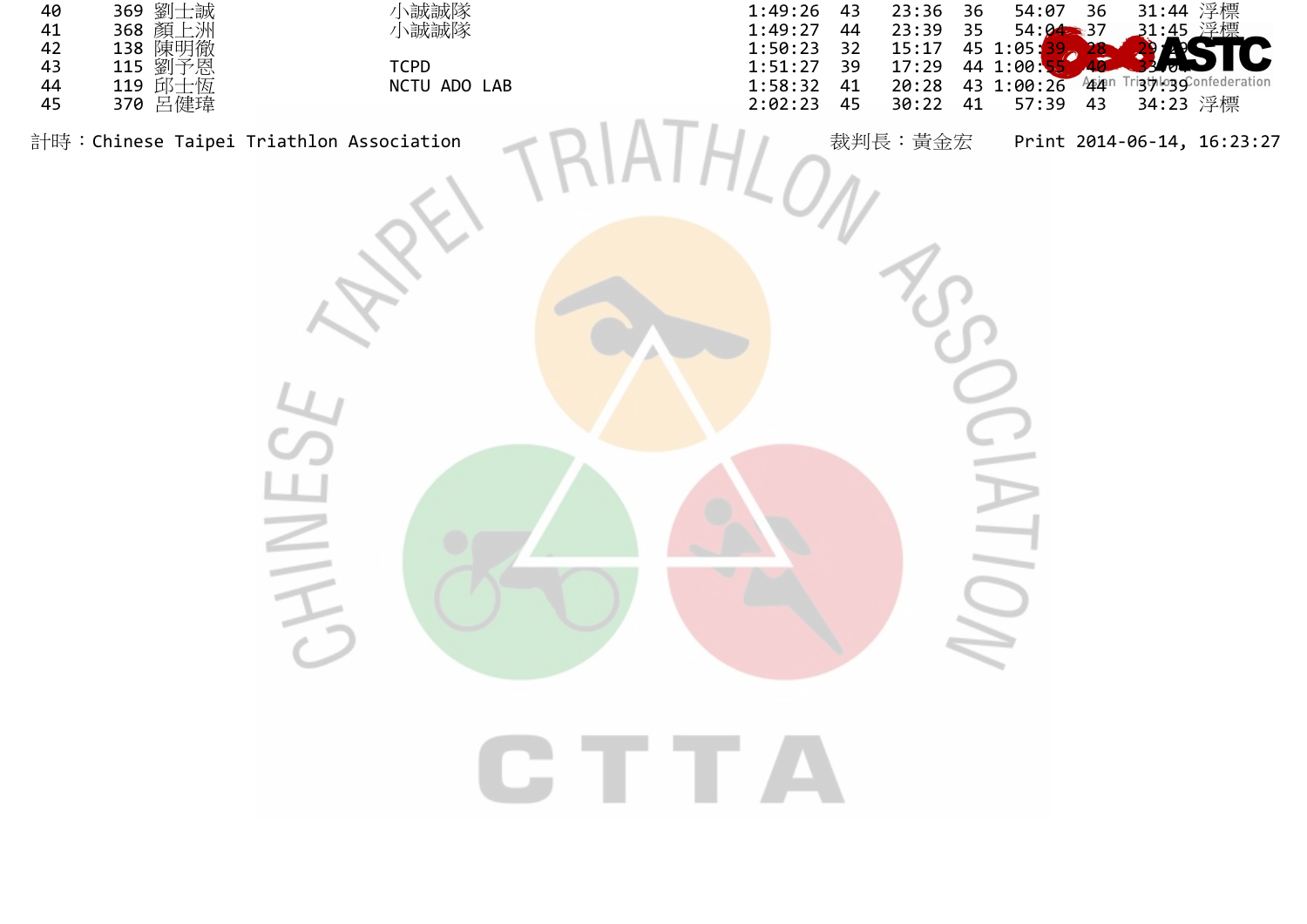